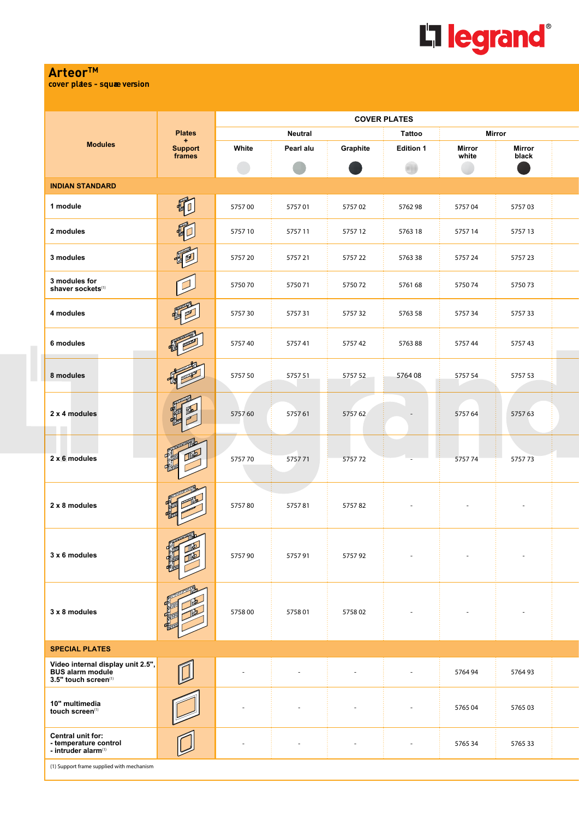

## **Arteor™**

**cover plates - squae version** 

|                                                                                      | <b>Plates</b><br>÷       | <b>COVER PLATES</b> |                |          |                          |                        |                          |  |  |  |
|--------------------------------------------------------------------------------------|--------------------------|---------------------|----------------|----------|--------------------------|------------------------|--------------------------|--|--|--|
|                                                                                      |                          |                     | <b>Neutral</b> |          | Tattoo                   | Mirror                 |                          |  |  |  |
| <b>Modules</b>                                                                       | <b>Support</b><br>frames | White               | Pearl alu      | Graphite | <b>Edition 1</b>         | <b>Mirror</b><br>white | Mirror<br>black          |  |  |  |
|                                                                                      |                          |                     |                |          |                          |                        |                          |  |  |  |
| <b>INDIAN STANDARD</b>                                                               |                          |                     |                |          |                          |                        |                          |  |  |  |
| 1 module                                                                             | 硐                        | 575700              | 575701         | 575702   | 576298                   | 575704                 | 575703                   |  |  |  |
| 2 modules                                                                            |                          | 575710              | 575711         | 575712   | 5763 18                  | 5757 14                | 575713                   |  |  |  |
| 3 modules                                                                            |                          | 575720              | 575721         | 575722   | 576338                   | 575724                 | 575723                   |  |  |  |
| 3 modules for<br>shaver sockets(1)                                                   |                          | 575070              | 575071         | 575072   | 576168                   | 575074                 | 575073                   |  |  |  |
| 4 modules                                                                            |                          | 575730              | 575731         | 575732   | 5763 58                  | 575734                 | 575733                   |  |  |  |
| 6 modules                                                                            |                          | 575740              | 575741         | 575742   | 576388                   | 575744                 | 575743                   |  |  |  |
| 8 modules                                                                            |                          | 5757 50             | 575751         | 575752   | 576408                   | 5757 54                | 5757 53                  |  |  |  |
| 2 x 4 modules                                                                        |                          | 575760              | 575761         | 575762   |                          | 575764                 | 575763                   |  |  |  |
| 2 x 6 modules                                                                        |                          | 575770              | 575771         | 575772   |                          | 575774                 | 575773                   |  |  |  |
| 2 x 8 modules                                                                        |                          | 575780              | 575781         | 575782   | $\overline{\phantom{a}}$ |                        | $\overline{\phantom{a}}$ |  |  |  |
| 3 x 6 modules                                                                        |                          | 575790              | 575791         | 575792   |                          |                        |                          |  |  |  |
| 3 x 8 modules                                                                        |                          | 575800              | 575801         | 575802   |                          |                        |                          |  |  |  |
| <b>SPECIAL PLATES</b>                                                                |                          |                     |                |          |                          |                        |                          |  |  |  |
| Video internal display unit 2.5",<br><b>BUS alarm module</b><br>3.5" touch screen(1) |                          |                     |                |          |                          | 576494                 | 576493                   |  |  |  |
| 10" multimedia<br>touch screen(1)                                                    |                          |                     |                |          |                          | 576504                 | 576503                   |  |  |  |
| Central unit for:<br>- temperature control<br>- intruder alarm <sup>(1)</sup>        |                          |                     |                |          |                          | 5765 34                | 576533                   |  |  |  |
| (1) Support frame supplied with mechanism                                            |                          |                     |                |          |                          |                        |                          |  |  |  |